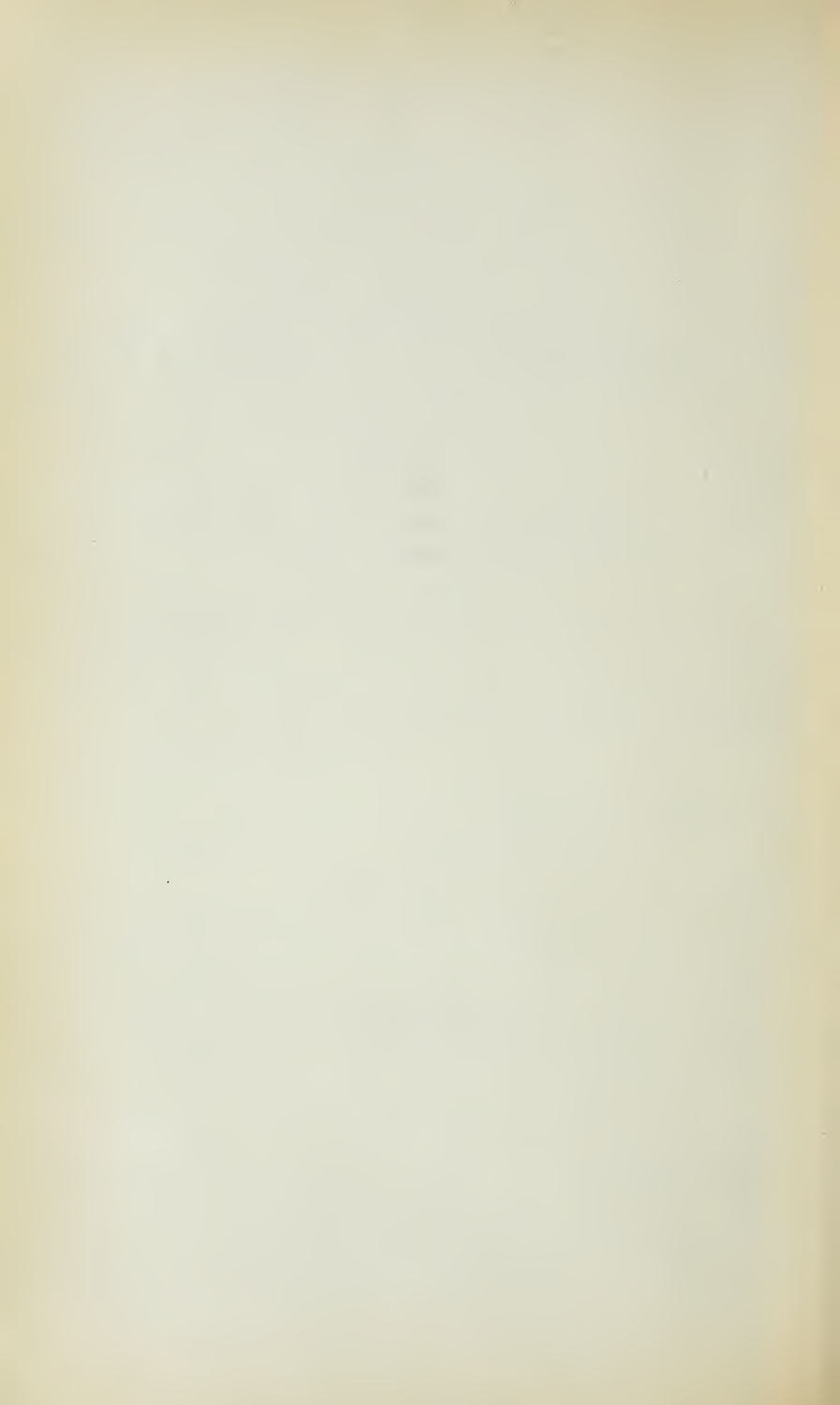$\bar{z}$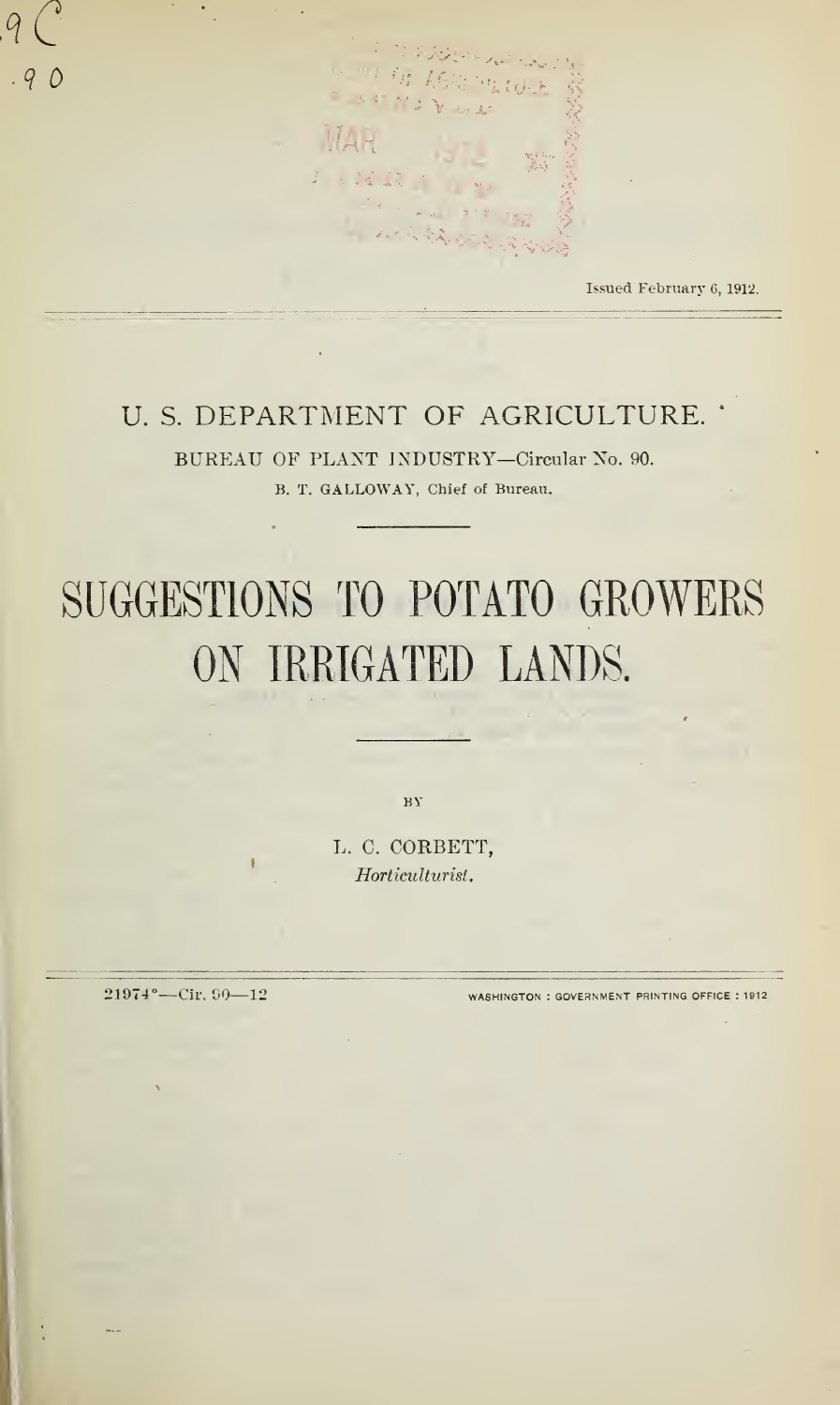

Issued February 6, 1912.

### U. S. DEPARTMENT OF AGRICULTURE.

BUREAU OF PLANT INDUSTRY—Circular Xo. 90. B. T. GALLOWAY, Chief of Bureau.

# SUGGESTIONS TO POTATO GROWERS ON IRRIGATED LANDS.

 $BY$ 

L. C. CORBETT, Horticulturist.

21974°—Cir, 90-12 WASHINGTON : GOVERNMENT PRINTING OFFICE : 1912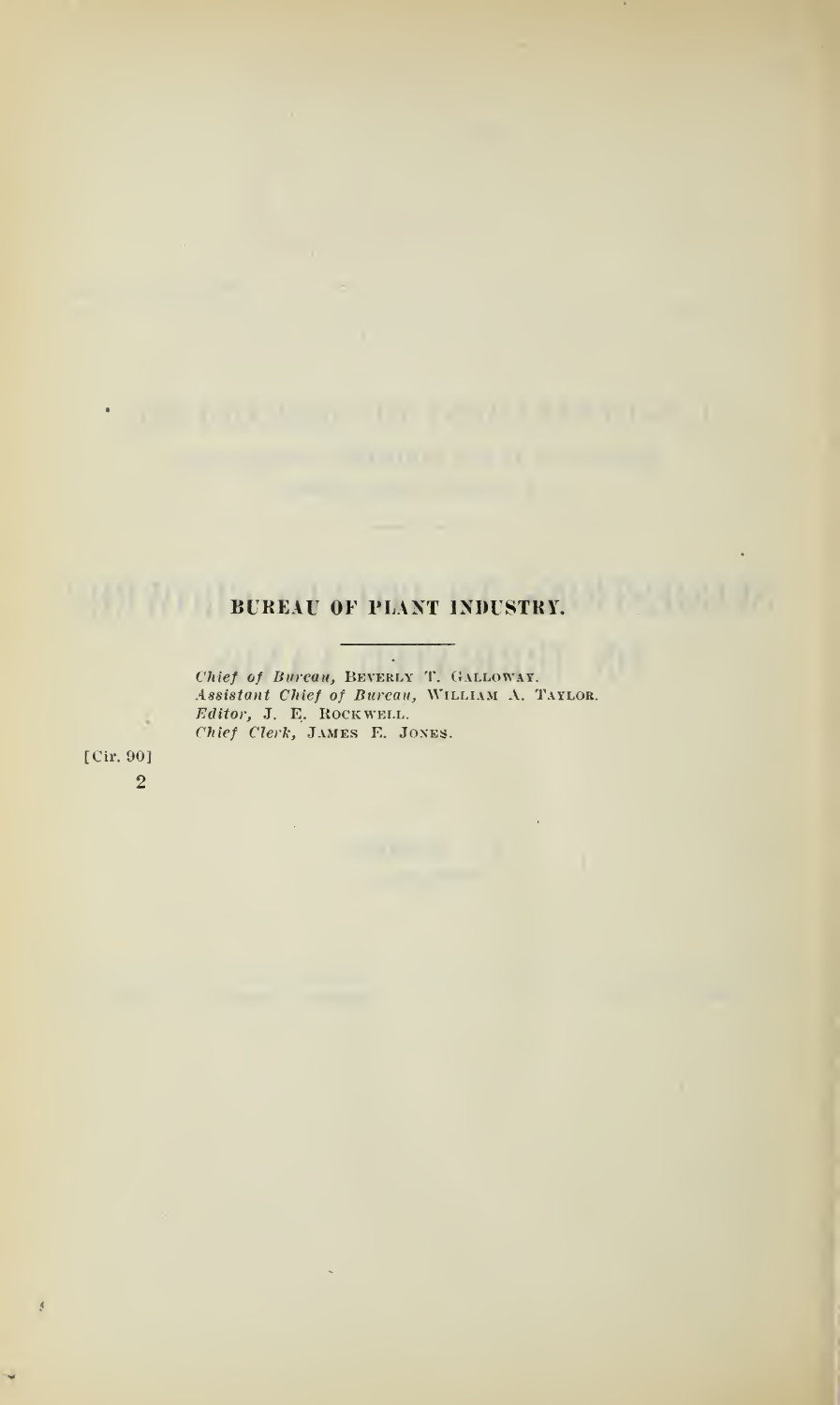## BUREAU OF PLANT INDUSTRY.

 $\sim$ 

 $\vert \hspace{.1cm} \cdot \hspace{.1cm} \vert$ Chief of Bureau, Beverly T. (iALLowAT. Assistant Chief of Bureau, William A. Taylor. Editor, J. E. Rockwell. Chief Clerk, James E. Jones.

 $\bar{\beta}$ 

[Cir. 90]2

 $\overline{\mathcal{L}}$ 

š

 $\ddot{\phantom{a}}$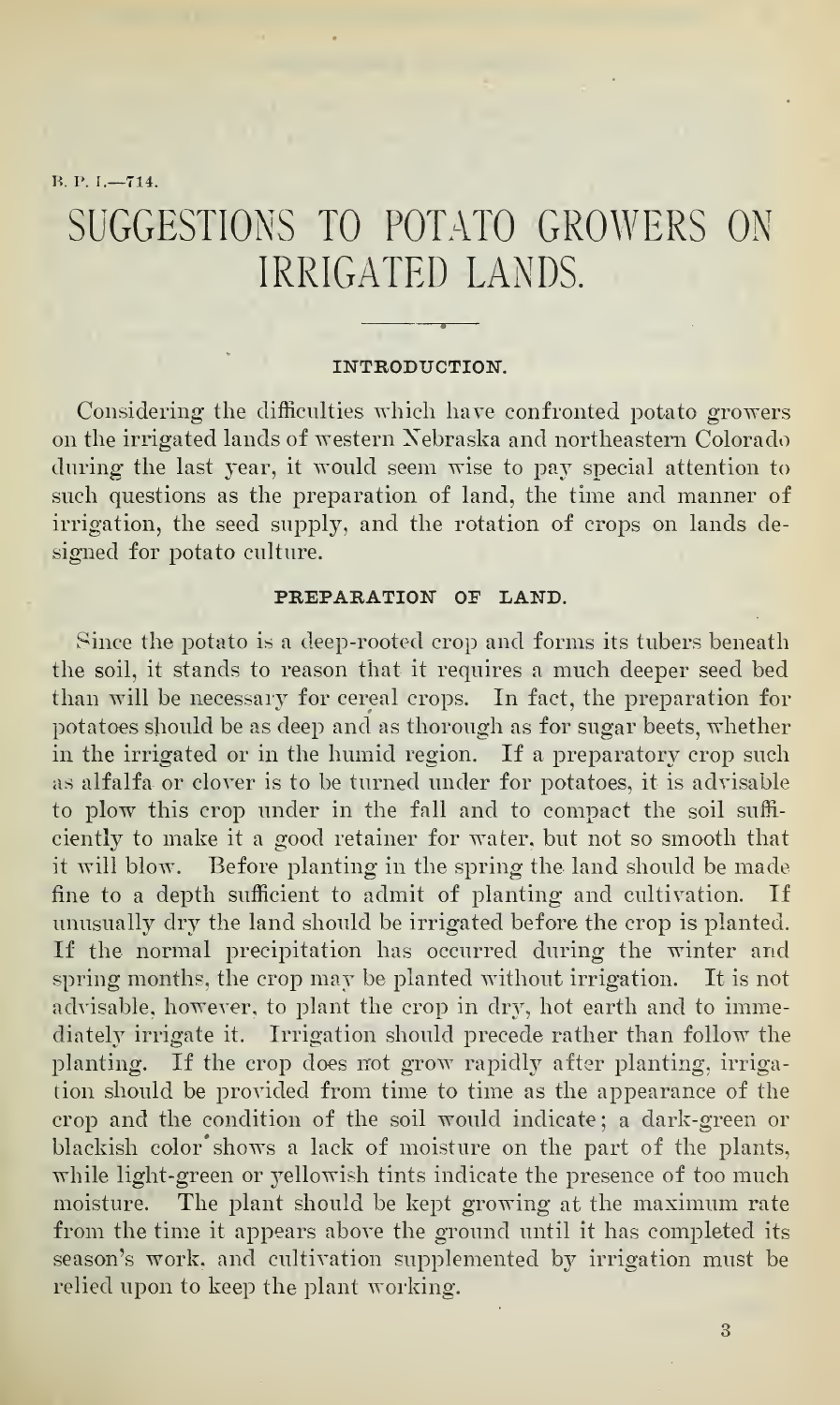R. P. I.—714.

### SUGGESTIONS TO POTATO GROWERS ON IRRIGATED LANDS.

#### INTRODUCTION.

Considering the difficulties which have confronted potato growers on the irrigated lands of western Xebraska and northeastern Colorado during the last year, it would seem wise to pay special attention to such questions as the preparation of land, the time and manner of irrigation, the seed supply, and the rotation of crops on lands designed for potato culture.

#### PREPARATION OF LAND.

Since the potato is a deep-rooted crop and forms its tubers beneath the soil, it stands to reason that it requires <sup>a</sup> much deeper seed bed than will be necessary for cereal crops. In fact, the preparation for potatoes should be as deep and as thorough as for sugar beets, whether in the irrigated or in the humid region. If a preparatory crop such as alfalfa or clover is to be turned under for potatoes, it is advisable to plow this crop under in the fall and to compact the soil suffi ciently to make it <sup>a</sup> good retainer for water, but not so smooth that it will blow. Before planting in the spring the land should be made fine to a depth sufficient to admit of planting and cultivation. If unusually dry the land should be irrigated before the crop is planted. If the normal precipitation has occurred during the winter and spring months, the crop may be planted without irrigation. It is not advisable, however, to plant the crop in dry, hot earth and to immediately irrigate it. Irrigation should precede rather than follow the planting. If the crop does not grow rapidly after planting, irrigation should be provided from time to time as the appearance of the crop and the condition of the soil would indicate; a dark-green or blackish color<sup>\*</sup> shows a lack of moisture on the part of the plants, while light-green or yellowish tints indicate the presence of too much moisture. The plant should be kept growing at the maximum rate from the time it appears above the ground until it has completed its season's work, and cultivation supplemented by irrigation must be relied upon to keep the plant working.

 $\overline{3}$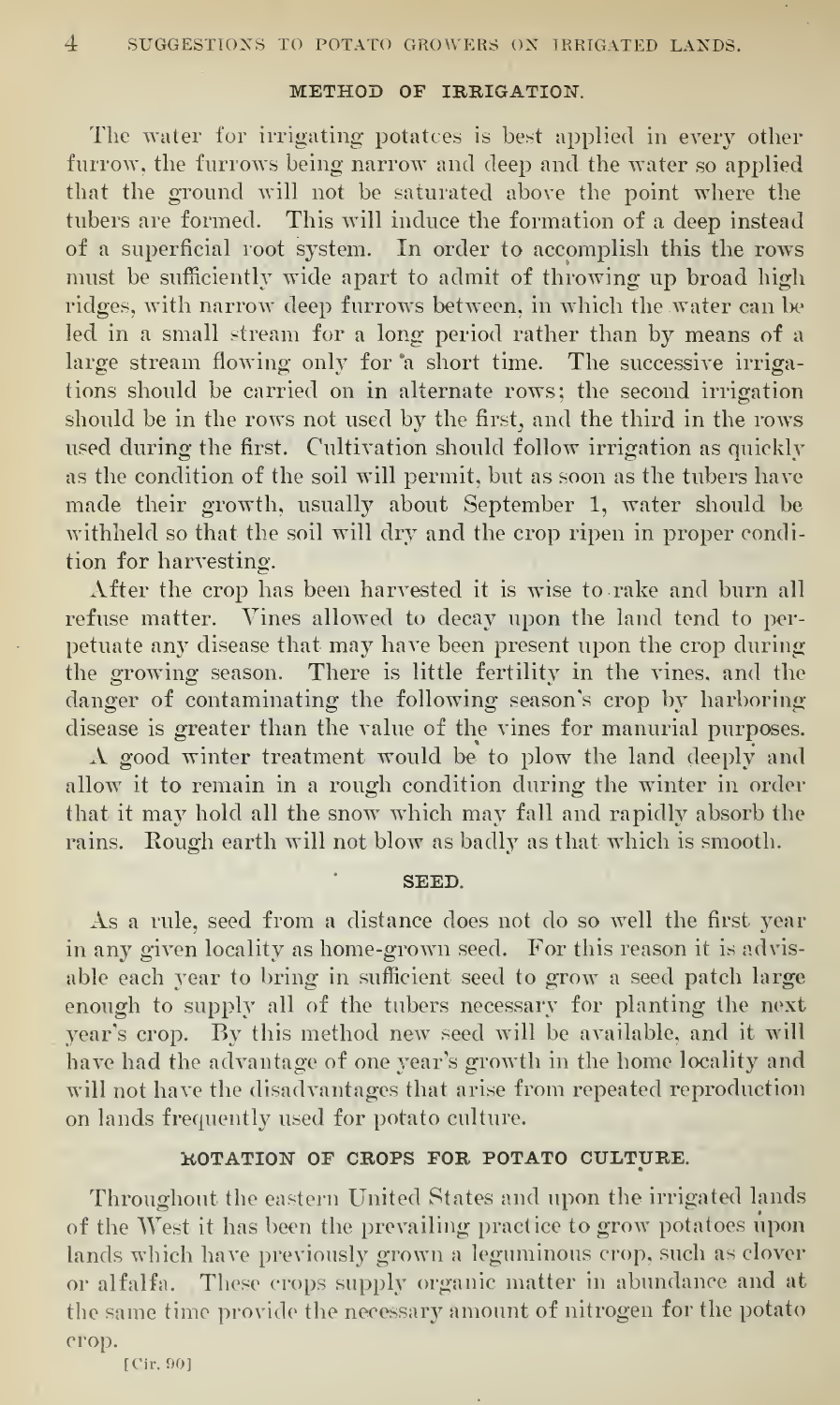#### METHOD OF IRRIGATION.

The water for irrigating potatces is best applied in every other furrow, the furrows being narrow and deep and the water so applied that the ground will not be saturated above the point where the tubers are formed. This will induce the formation of a deep instead of a superficial root system. In order to accomplish this the rows must be sufficiently wide apart to admit of throwing up broad high ridges, with narrow deep furrows between, in which the water can be led in a small stream for a long period rather than by means of a large stream flowing only for a short time. The successive irrigations should be carried on in alternate rows; the second irrigation should be in the rows not used by the first, and the third in the rows used during the first. Cultivation should follow irrigation as quickly as the condition of the soil will permit, but as soon as the tubers have made their growth, usually about September 1, water should be withheld so that the soil will dry and the crop ripen in proper condition for harvesting.

After the crop has been harvested it is wise to rake and burn all refuse matter. Vines allowed to decay upon the land tend to per petuate any disease that may have been present upon the crop during the growing season. There is little fertility in the vines, and the danger of contaminating the following season's crop by harboringdisease is greater than the value of the vines for manurial purposes.

A good winter treatment would be to plow the land deeply and allow it to remain in <sup>a</sup> rough condition during the winter in order that it may hold all the snow which may fall and rapidly absorb the rains. Rough earth will not blow as badly as that which is smooth.

#### SEED.

As <sup>a</sup> rule, seed from <sup>a</sup> distance does not do so well the first year in any given locality as home-grown seed. For this reason it is advisable each year to bring in sufficient seed to grow <sup>a</sup> seed patch large enough to supply all of the tubers necessary for planting the next year's crop. By this method new seed will be available, and it will have had the advantage of one year's growth in the home locality and will not have the disadvantages that arise from repeated reproduction on lands frequently used for potato culture.

#### KOTATION OF CROPS FOR POTATO CULTURE.

Throughout the eastern United States and upon the irrigated lands of the West it has been the prevailing practice to grow potatoes upon lands which have previously grown <sup>a</sup> leguminous crop, such as clover or alfalfa. These crops supply organic matter in abundance and at the same time provide the necessary amount of nitrogen for the potato crop.

[Cir. 90]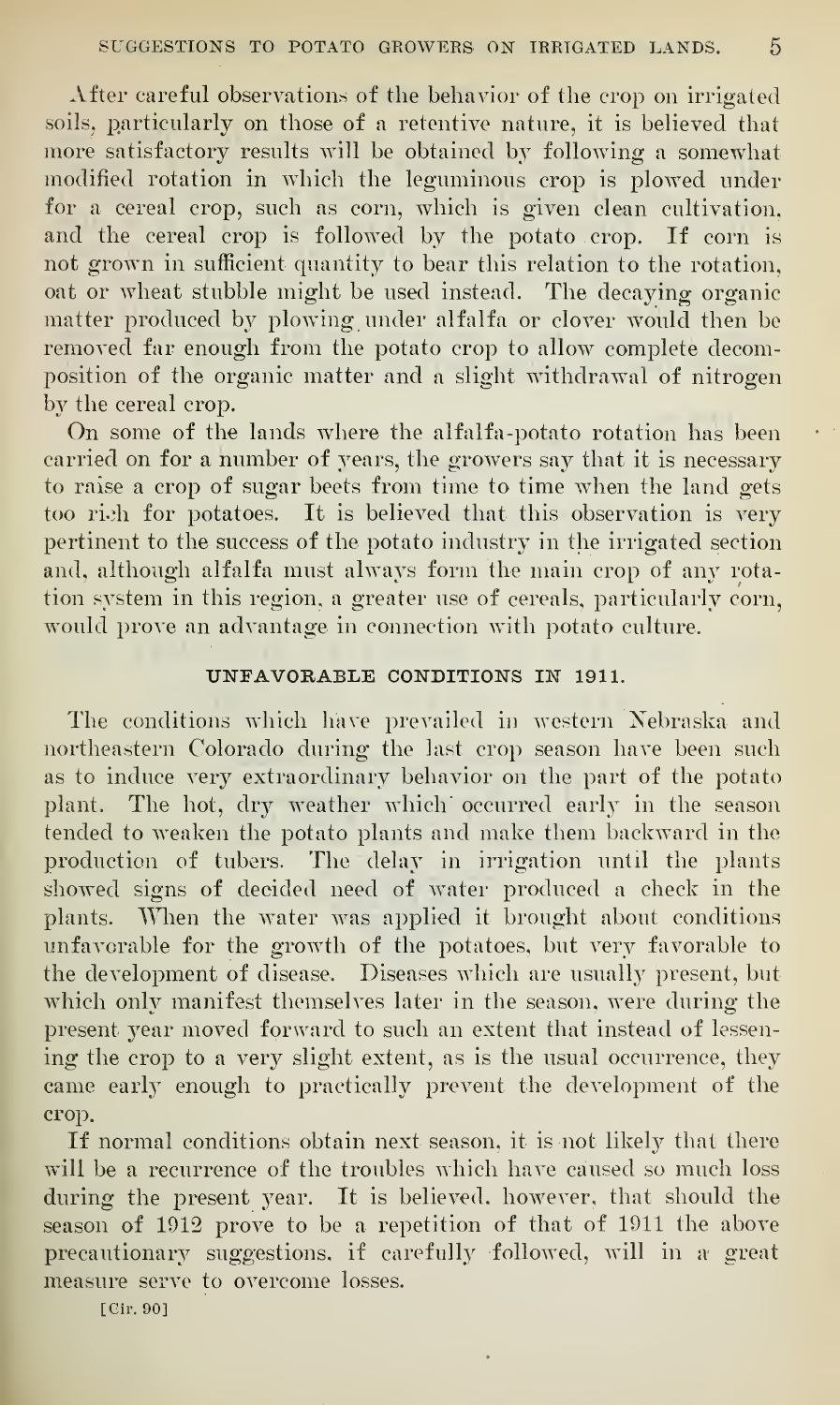After careful observations of the behavior of the crop on irrigated soils, particularly on those of a retentive nature, it is believed that more satisfactory results will be obtained by following a somewhat modified rotation in which the leguminous crop is plowed under for a cereal crop, such as corn, which is given clean cultivation. and the cereal crop is followed by the potato crop. If corn is not grown in sufficient quantity to bear this relation to the rotation, oat or wheat stubble might be used instead. The decaying organic matter produced by plowing under alfalfa or clover would then be removed far enough from the potato crop to allow complete decomposition of the organic matter and a slight withdrawal of nitrogen by the cereal crop.

On some of the lands where the alfalfa -potato rotation has been carried on for a number of years, the growers say that it is necessary to raise <sup>a</sup> crop of sugar beets from time to time when the land gets too rich for potatoes. It is believed that this observation is very pertinent to the success of the potato industry in the irrigated section and, although alfalfa must always form the main crop of any rota tion system in this region, a greater use of cereals, particularly corn, would prove an advantage in connection with potato culture.

#### UNFAVORABLE CONDITIONS IN 1911.

The conditions which have prevailed in western Xebraska and northeastern Colorado during the last crop season have been such as to induce very extraordinary behavior on the part of the potato plant. The hot, dry weather which occurred early in the season tended to weaken the potato plants and make them backward in the production of tubers. The delay in irrigation until the plants showed signs of decided need of water produced a check in the plants. When the water was applied it brought about conditions unfavorable for the growth of the potatoes, but very favorable to the development of disease. Diseases which are usually present, but which only manifest themselves later in the season, were during the present year moved forward to such an extent that instead of lessening the crop to a very slight extent, as is the usual occurrence, they came early enough to practically prevent the development of the crop.

If normal conditions obtain next season, it is not likely that there will be a recurrence of the troubles which have caused so much loss during the present year. It is believed, however, that should the season of 1912 prove to be a repetition of that of 1911 the above precautionary suggestions, if carefully followed, will in a great measure serve to overcome losses.

[Gir. 90]